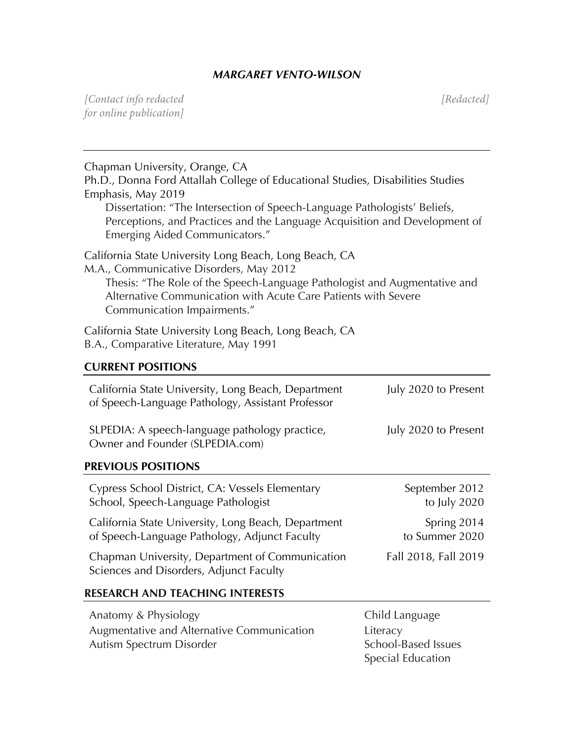## *MARGARET VENTO-WILSON*

*[Contact info redacted [Redacted] for online publication]*

| Chapman University, Orange, CA<br>Ph.D., Donna Ford Attallah College of Educational Studies, Disabilities Studies<br>Emphasis, May 2019<br>Dissertation: "The Intersection of Speech-Language Pathologists' Beliefs,<br>Perceptions, and Practices and the Language Acquisition and Development of<br>Emerging Aided Communicators." |                                |
|--------------------------------------------------------------------------------------------------------------------------------------------------------------------------------------------------------------------------------------------------------------------------------------------------------------------------------------|--------------------------------|
| California State University Long Beach, Long Beach, CA<br>M.A., Communicative Disorders, May 2012<br>Thesis: "The Role of the Speech-Language Pathologist and Augmentative and<br>Alternative Communication with Acute Care Patients with Severe<br>Communication Impairments."                                                      |                                |
| California State University Long Beach, Long Beach, CA<br>B.A., Comparative Literature, May 1991                                                                                                                                                                                                                                     |                                |
| <b>CURRENT POSITIONS</b>                                                                                                                                                                                                                                                                                                             |                                |
| California State University, Long Beach, Department<br>of Speech-Language Pathology, Assistant Professor                                                                                                                                                                                                                             | July 2020 to Present           |
| SLPEDIA: A speech-language pathology practice,<br>Owner and Founder (SLPEDIA.com)                                                                                                                                                                                                                                                    | July 2020 to Present           |
| <b>PREVIOUS POSITIONS</b>                                                                                                                                                                                                                                                                                                            |                                |
| Cypress School District, CA: Vessels Elementary<br>School, Speech-Language Pathologist                                                                                                                                                                                                                                               | September 2012<br>to July 2020 |
| California State University, Long Beach, Department<br>of Speech-Language Pathology, Adjunct Faculty                                                                                                                                                                                                                                 | Spring 2014<br>to Summer 2020  |
| Chapman University, Department of Communication<br>Sciences and Disorders, Adjunct Faculty                                                                                                                                                                                                                                           | Fall 2018, Fall 2019           |
| <b>RESEARCH AND TEACHING INTERESTS</b>                                                                                                                                                                                                                                                                                               |                                |
|                                                                                                                                                                                                                                                                                                                                      |                                |

| Anatomy & Physiology                       | Child La |
|--------------------------------------------|----------|
| Augmentative and Alternative Communication | Literacy |
| Autism Spectrum Disorder                   | School-  |
|                                            |          |

hild Language hool-Based Issues Special Education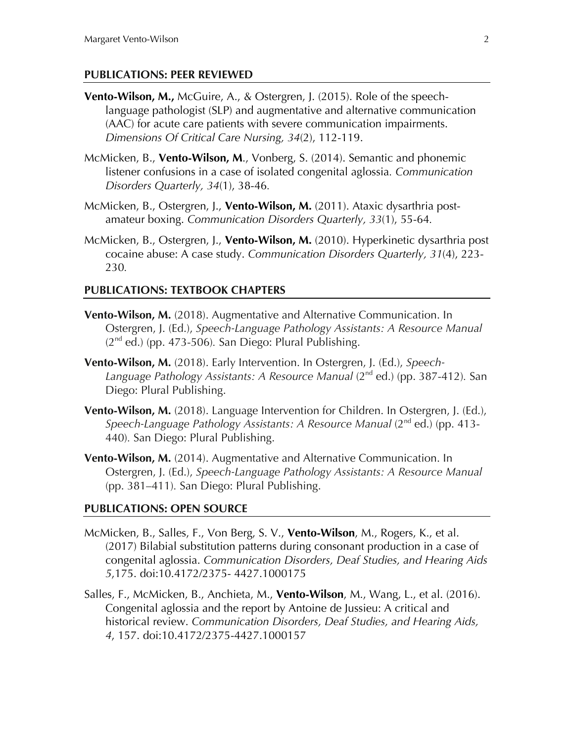#### **PUBLICATIONS: PEER REVIEWED**

- **Vento-Wilson, M.,** McGuire, A., & Ostergren, J. (2015). Role of the speechlanguage pathologist (SLP) and augmentative and alternative communication (AAC) for acute care patients with severe communication impairments. *Dimensions Of Critical Care Nursing, 34*(2), 112-119.
- McMicken, B., **Vento-Wilson, M**., Vonberg, S. (2014). Semantic and phonemic listener confusions in a case of isolated congenital aglossia*. Communication Disorders Quarterly, 34*(1), 38-46*.*
- McMicken, B., Ostergren, J., **Vento-Wilson, M.** (2011). Ataxic dysarthria postamateur boxing. *Communication Disorders Quarterly, 33*(1), 55-64*.*
- McMicken, B., Ostergren, J., **Vento-Wilson, M.** (2010). Hyperkinetic dysarthria post cocaine abuse: A case study. *Communication Disorders Quarterly, 31*(4), 223- 230*.*

#### **PUBLICATIONS: TEXTBOOK CHAPTERS**

- **Vento-Wilson, M.** (2018). Augmentative and Alternative Communication. In Ostergren, J. (Ed.), *Speech-Language Pathology Assistants: A Resource Manual*  (2nd ed.) (pp. 473-506)*.* San Diego: Plural Publishing.
- **Vento-Wilson, M.** (2018). Early Intervention. In Ostergren, J. (Ed.), *Speech-Language Pathology Assistants: A Resource Manual* (2nd ed.) (pp. 387-412)*.* San Diego: Plural Publishing.
- **Vento-Wilson, M.** (2018). Language Intervention for Children. In Ostergren, J. (Ed.), *Speech-Language Pathology Assistants: A Resource Manual (2<sup>nd</sup> ed.) (pp. 413-*440)*.* San Diego: Plural Publishing.
- **Vento-Wilson, M.** (2014). Augmentative and Alternative Communication. In Ostergren, J. (Ed.), *Speech-Language Pathology Assistants: A Resource Manual*  (pp. 381–411)*.* San Diego: Plural Publishing.

#### **PUBLICATIONS: OPEN SOURCE**

- McMicken, B., Salles, F., Von Berg, S. V., **Vento-Wilson**, M., Rogers, K., et al. (2017) Bilabial substitution patterns during consonant production in a case of congenital aglossia. *Communication Disorders, Deaf Studies, and Hearing Aids 5*,175. doi:10.4172/2375- 4427.1000175
- Salles, F., McMicken, B., Anchieta, M., **Vento-Wilson**, M., Wang, L., et al. (2016). Congenital aglossia and the report by Antoine de Jussieu: A critical and historical review. *Communication Disorders, Deaf Studies, and Hearing Aids, 4*, 157. doi:10.4172/2375-4427.1000157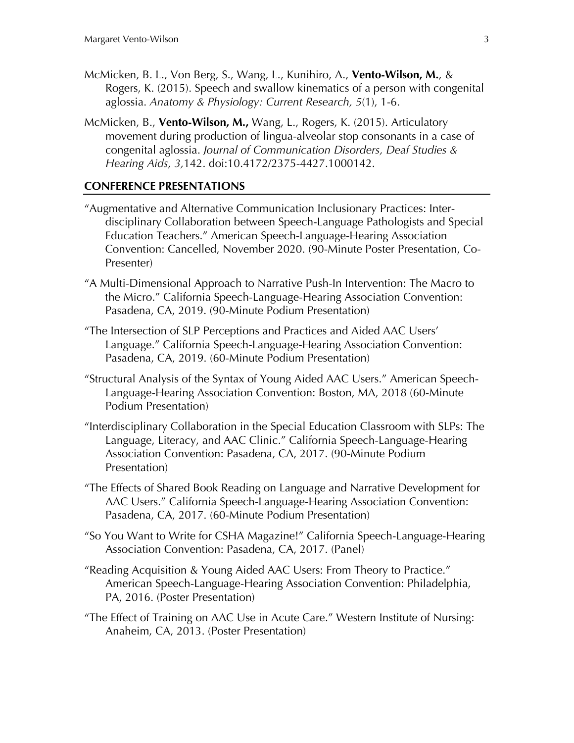- McMicken, B. L., Von Berg, S., Wang, L., Kunihiro, A., **Vento-Wilson, M.**, & Rogers, K. (2015). Speech and swallow kinematics of a person with congenital aglossia. *Anatomy & Physiology: Current Research, 5*(1), 1-6.
- McMicken, B., **Vento-Wilson, M.,** Wang, L., Rogers, K. (2015). Articulatory movement during production of lingua-alveolar stop consonants in a case of congenital aglossia. *Journal of Communication Disorders, Deaf Studies & Hearing Aids, 3,*142. doi:10.4172/2375-4427.1000142.

#### **CONFERENCE PRESENTATIONS**

- "Augmentative and Alternative Communication Inclusionary Practices: Interdisciplinary Collaboration between Speech-Language Pathologists and Special Education Teachers." American Speech-Language-Hearing Association Convention: Cancelled, November 2020. (90-Minute Poster Presentation, Co-Presenter)
- "A Multi-Dimensional Approach to Narrative Push-In Intervention: The Macro to the Micro." California Speech-Language-Hearing Association Convention: Pasadena, CA, 2019. (90-Minute Podium Presentation)
- "The Intersection of SLP Perceptions and Practices and Aided AAC Users' Language." California Speech-Language-Hearing Association Convention: Pasadena, CA, 2019. (60-Minute Podium Presentation)
- "Structural Analysis of the Syntax of Young Aided AAC Users." American Speech-Language-Hearing Association Convention: Boston, MA, 2018 (60-Minute Podium Presentation)
- "Interdisciplinary Collaboration in the Special Education Classroom with SLPs: The Language, Literacy, and AAC Clinic." California Speech-Language-Hearing Association Convention: Pasadena, CA, 2017. (90-Minute Podium Presentation)
- "The Effects of Shared Book Reading on Language and Narrative Development for AAC Users." California Speech-Language-Hearing Association Convention: Pasadena, CA, 2017. (60-Minute Podium Presentation)
- "So You Want to Write for CSHA Magazine!" California Speech-Language-Hearing Association Convention: Pasadena, CA, 2017. (Panel)
- "Reading Acquisition & Young Aided AAC Users: From Theory to Practice." American Speech-Language-Hearing Association Convention: Philadelphia, PA, 2016. (Poster Presentation)
- "The Effect of Training on AAC Use in Acute Care." Western Institute of Nursing: Anaheim, CA, 2013. (Poster Presentation)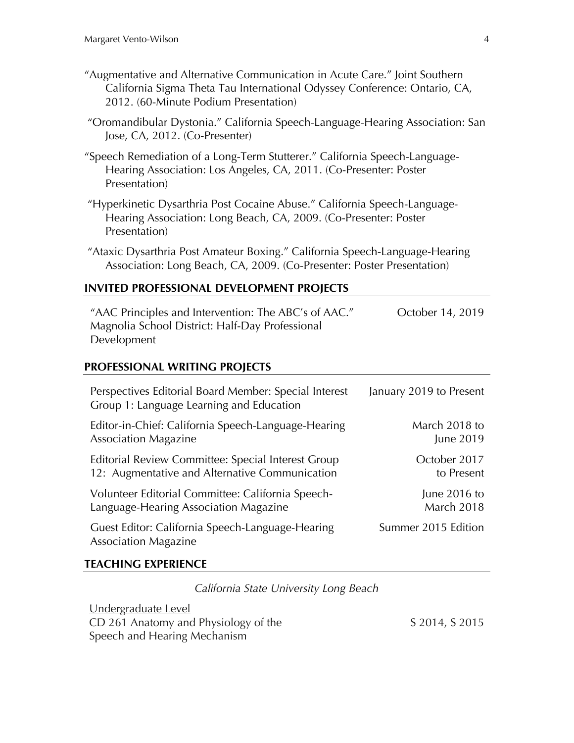- "Augmentative and Alternative Communication in Acute Care." Joint Southern California Sigma Theta Tau International Odyssey Conference: Ontario, CA, 2012. (60-Minute Podium Presentation)
- "Oromandibular Dystonia." California Speech-Language-Hearing Association: San Jose, CA, 2012. (Co-Presenter)
- "Speech Remediation of a Long-Term Stutterer." California Speech-Language-Hearing Association: Los Angeles, CA, 2011. (Co-Presenter: Poster Presentation)
- "Hyperkinetic Dysarthria Post Cocaine Abuse." California Speech-Language-Hearing Association: Long Beach, CA, 2009. (Co-Presenter: Poster Presentation)
- "Ataxic Dysarthria Post Amateur Boxing." California Speech-Language-Hearing Association: Long Beach, CA, 2009. (Co-Presenter: Poster Presentation)

#### **INVITED PROFESSIONAL DEVELOPMENT PROJECTS**

"AAC Principles and Intervention: The ABC's of AAC." Magnolia School District: Half-Day Professional Development October 14, 2019

#### **PROFESSIONAL WRITING PROJECTS**

| Perspectives Editorial Board Member: Special Interest<br>Group 1: Language Learning and Education | January 2019 to Present |
|---------------------------------------------------------------------------------------------------|-------------------------|
| Editor-in-Chief: California Speech-Language-Hearing                                               | March 2018 to           |
| <b>Association Magazine</b>                                                                       | June 2019               |
| Editorial Review Committee: Special Interest Group                                                | October 2017            |
| 12: Augmentative and Alternative Communication                                                    | to Present              |
| Volunteer Editorial Committee: California Speech-                                                 | June 2016 to            |
| Language-Hearing Association Magazine                                                             | <b>March 2018</b>       |
| Guest Editor: California Speech-Language-Hearing<br><b>Association Magazine</b>                   | Summer 2015 Edition     |

#### **TEACHING EXPERIENCE**

*California State University Long Beach*

Undergraduate Level CD 261 Anatomy and Physiology of the Speech and Hearing Mechanism

S 2014, S 2015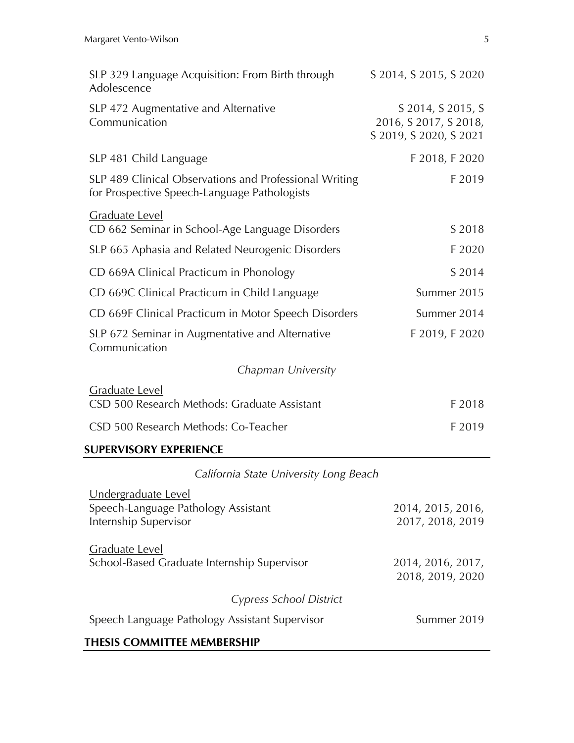| SLP 329 Language Acquisition: From Birth through<br>Adolescence                                        | S 2014, S 2015, S 2020                                               |
|--------------------------------------------------------------------------------------------------------|----------------------------------------------------------------------|
| SLP 472 Augmentative and Alternative<br>Communication                                                  | S 2014, S 2015, S<br>2016, S 2017, S 2018,<br>S 2019, S 2020, S 2021 |
| SLP 481 Child Language                                                                                 | F 2018, F 2020                                                       |
| SLP 489 Clinical Observations and Professional Writing<br>for Prospective Speech-Language Pathologists | F 2019                                                               |
| Graduate Level<br>CD 662 Seminar in School-Age Language Disorders                                      | S 2018                                                               |
| SLP 665 Aphasia and Related Neurogenic Disorders                                                       | F 2020                                                               |
| CD 669A Clinical Practicum in Phonology                                                                | S 2014                                                               |
| CD 669C Clinical Practicum in Child Language                                                           | Summer 2015                                                          |
| CD 669F Clinical Practicum in Motor Speech Disorders                                                   | Summer 2014                                                          |
| SLP 672 Seminar in Augmentative and Alternative<br>Communication                                       | F 2019, F 2020                                                       |
| Chapman University                                                                                     |                                                                      |
| <b>Graduate Level</b><br>CSD 500 Research Methods: Graduate Assistant                                  | F 2018                                                               |
| CSD 500 Research Methods: Co-Teacher                                                                   | F 2019                                                               |
| <b>SUPERVISORY EXPERIENCE</b>                                                                          |                                                                      |
| California State University Long Beach                                                                 |                                                                      |
| Undergraduate Level<br>Speech-Language Pathology Assistant<br>Internship Supervisor                    | 2014, 2015, 2016,<br>2017, 2018, 2019                                |
| <b>Graduate Level</b><br>School-Based Graduate Internship Supervisor                                   | 2014, 2016, 2017,                                                    |

# *Cypress School District*

Speech Language Pathology Assistant Supervisor Summer 2019

### **THESIS COMMITTEE MEMBERSHIP**

2018, 2019, 2020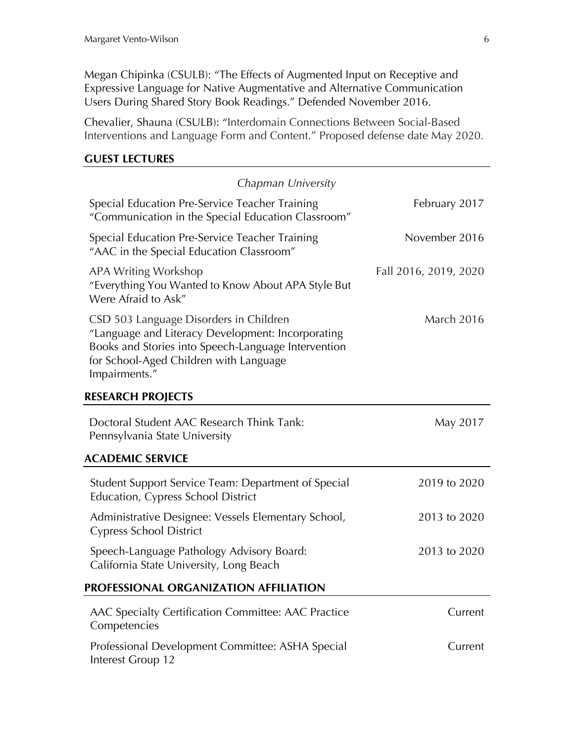Megan Chipinka (CSULB): "The Effects of Augmented Input on Receptive and Expressive Language for Native Augmentative and Alternative Communication Users During Shared Story Book Readings." Defended November 2016.

Chevalier, Shauna (CSULB): "Interdomain Connections Between Social-Based Interventions and Language Form and Content." Proposed defense date May 2020.

#### **GUEST LECTURES**

| Chapman University                                                                                                                                                                                            |                       |
|---------------------------------------------------------------------------------------------------------------------------------------------------------------------------------------------------------------|-----------------------|
| Special Education Pre-Service Teacher Training<br>"Communication in the Special Education Classroom"                                                                                                          | February 2017         |
| Special Education Pre-Service Teacher Training<br>"AAC in the Special Education Classroom"                                                                                                                    | November 2016         |
| APA Writing Workshop<br>"Everything You Wanted to Know About APA Style But<br>Were Afraid to Ask"                                                                                                             | Fall 2016, 2019, 2020 |
| CSD 503 Language Disorders in Children<br>"Language and Literacy Development: Incorporating<br>Books and Stories into Speech-Language Intervention<br>for School-Aged Children with Language<br>Impairments." | <b>March 2016</b>     |
| <b>RESEARCH PROJECTS</b>                                                                                                                                                                                      |                       |
| Doctoral Student AAC Research Think Tank:<br>Pennsylvania State University                                                                                                                                    | May 2017              |
| <b>ACADEMIC SERVICE</b>                                                                                                                                                                                       |                       |
| Student Support Service Team: Department of Special<br>Education, Cypress School District                                                                                                                     | 2019 to 2020          |
| Administrative Designee: Vessels Elementary School,<br><b>Cypress School District</b>                                                                                                                         | 2013 to 2020          |
| Speech-Language Pathology Advisory Board:<br>California State University, Long Beach                                                                                                                          | 2013 to 2020          |
| PROFESSIONAL ORGANIZATION AFFILIATION                                                                                                                                                                         |                       |
| AAC Specialty Certification Committee: AAC Practice<br>Competencies                                                                                                                                           | Current               |
| Professional Development Committee: ASHA Special<br>Interest Group 12                                                                                                                                         | Current               |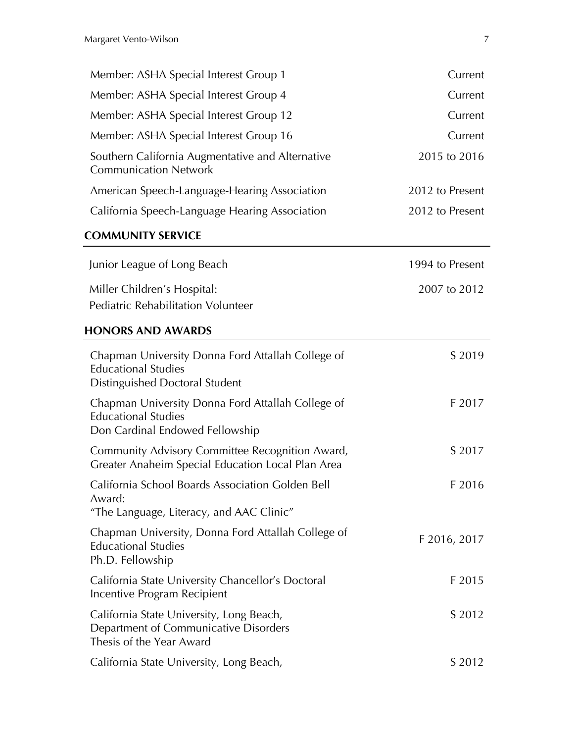| Member: ASHA Special Interest Group 1                                                                              | Current         |
|--------------------------------------------------------------------------------------------------------------------|-----------------|
| Member: ASHA Special Interest Group 4                                                                              | Current         |
| Member: ASHA Special Interest Group 12                                                                             | Current         |
| Member: ASHA Special Interest Group 16                                                                             | Current         |
| Southern California Augmentative and Alternative<br><b>Communication Network</b>                                   | 2015 to 2016    |
| American Speech-Language-Hearing Association                                                                       | 2012 to Present |
| California Speech-Language Hearing Association                                                                     | 2012 to Present |
| <b>COMMUNITY SERVICE</b>                                                                                           |                 |
| Junior League of Long Beach                                                                                        | 1994 to Present |
| Miller Children's Hospital:<br>Pediatric Rehabilitation Volunteer                                                  | 2007 to 2012    |
| <b>HONORS AND AWARDS</b>                                                                                           |                 |
| Chapman University Donna Ford Attallah College of<br><b>Educational Studies</b><br>Distinguished Doctoral Student  | S 2019          |
| Chapman University Donna Ford Attallah College of<br><b>Educational Studies</b><br>Don Cardinal Endowed Fellowship | F 2017          |
| Community Advisory Committee Recognition Award,<br>Greater Anaheim Special Education Local Plan Area               | S 2017          |
| California School Boards Association Golden Bell<br>Award:<br>"The Language, Literacy, and AAC Clinic"             | F 2016          |
| Chapman University, Donna Ford Attallah College of<br><b>Educational Studies</b><br>Ph.D. Fellowship               | F 2016, 2017    |
| California State University Chancellor's Doctoral<br>Incentive Program Recipient                                   | F 2015          |
| California State University, Long Beach,<br>Department of Communicative Disorders<br>Thesis of the Year Award      | S 2012          |
| California State University, Long Beach,                                                                           | S 2012          |